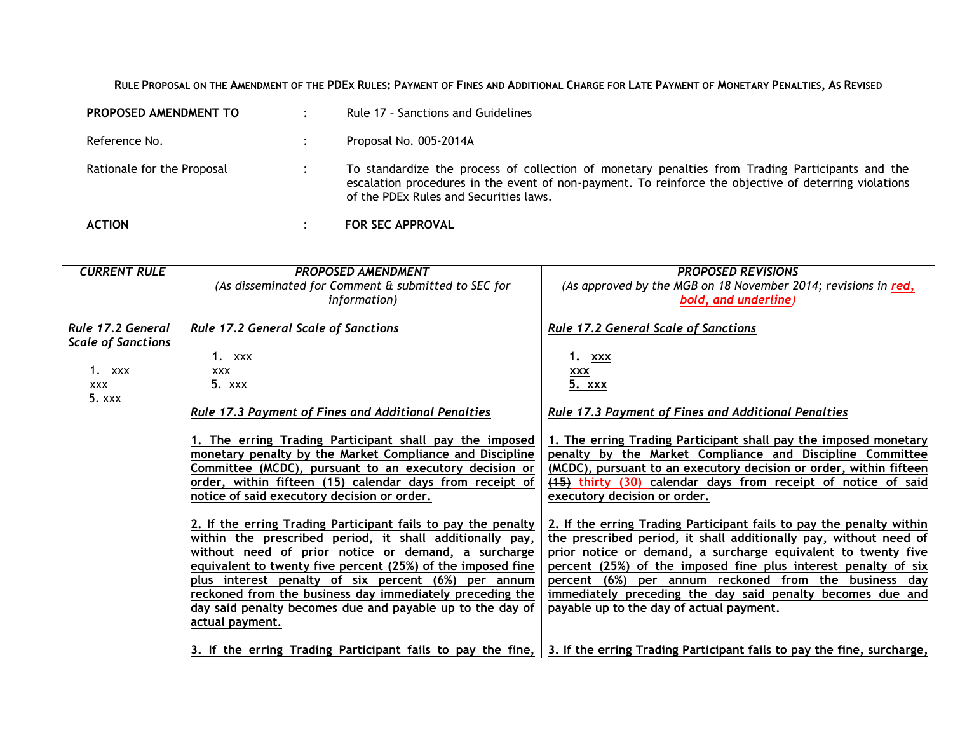RULE PROPOSAL ON THE AMENDMENT OF THE PDEX RULES: PAYMENT OF FINES AND ADDITIONAL CHARGE FOR LATE PAYMENT OF MONETARY PENALTIES, AS REVISED

| <b>ACTION</b>                | <b>FOR SEC APPROVAL</b>                                                                                                                                                                                                                             |
|------------------------------|-----------------------------------------------------------------------------------------------------------------------------------------------------------------------------------------------------------------------------------------------------|
| Rationale for the Proposal   | To standardize the process of collection of monetary penalties from Trading Participants and the<br>escalation procedures in the event of non-payment. To reinforce the objective of deterring violations<br>of the PDEx Rules and Securities laws. |
| Reference No.                | Proposal No. 005-2014A                                                                                                                                                                                                                              |
| <b>PROPOSED AMENDMENT TO</b> | Rule 17 - Sanctions and Guidelines                                                                                                                                                                                                                  |

| <b>CURRENT RULE</b>       | <b>PROPOSED AMENDMENT</b>                                     | <b>PROPOSED REVISIONS</b>                                              |
|---------------------------|---------------------------------------------------------------|------------------------------------------------------------------------|
|                           | (As disseminated for Comment & submitted to SEC for           | (As approved by the MGB on 18 November 2014; revisions in red,         |
|                           | <i>information</i> )                                          | bold, and underline)                                                   |
|                           |                                                               |                                                                        |
| Rule 17.2 General         | <b>Rule 17.2 General Scale of Sanctions</b>                   | <b>Rule 17.2 General Scale of Sanctions</b>                            |
| <b>Scale of Sanctions</b> |                                                               |                                                                        |
|                           | 1. $XXX$                                                      | 1.<br><b>XXX</b>                                                       |
| 1. xxx                    | <b>XXX</b>                                                    | <b>XXX</b>                                                             |
| <b>XXX</b>                | $5.$ xxx                                                      |                                                                        |
| 5.xxx                     |                                                               | <u>5. xxx</u>                                                          |
|                           |                                                               |                                                                        |
|                           | <b>Rule 17.3 Payment of Fines and Additional Penalties</b>    | <b>Rule 17.3 Payment of Fines and Additional Penalties</b>             |
|                           |                                                               |                                                                        |
|                           | 1. The erring Trading Participant shall pay the imposed       | 1. The erring Trading Participant shall pay the imposed monetary       |
|                           | monetary penalty by the Market Compliance and Discipline      | penalty by the Market Compliance and Discipline Committee              |
|                           | Committee (MCDC), pursuant to an executory decision or        | (MCDC), pursuant to an executory decision or order, within fifteen     |
|                           | order, within fifteen (15) calendar days from receipt of      | (15) thirty (30) calendar days from receipt of notice of said          |
|                           | notice of said executory decision or order.                   | executory decision or order.                                           |
|                           |                                                               |                                                                        |
|                           | 2. If the erring Trading Participant fails to pay the penalty | 2. If the erring Trading Participant fails to pay the penalty within   |
|                           | within the prescribed period, it shall additionally pay,      | the prescribed period, it shall additionally pay, without need of      |
|                           | without need of prior notice or demand, a surcharge           | prior notice or demand, a surcharge equivalent to twenty five          |
|                           | equivalent to twenty five percent (25%) of the imposed fine   | percent (25%) of the imposed fine plus interest penalty of six         |
|                           | plus interest penalty of six percent (6%) per annum           | percent (6%) per annum reckoned from the business day                  |
|                           | reckoned from the business day immediately preceding the      | immediately preceding the day said penalty becomes due and             |
|                           | day said penalty becomes due and payable up to the day of     | payable up to the day of actual payment.                               |
|                           | <u>actual payment.</u>                                        |                                                                        |
|                           |                                                               |                                                                        |
|                           | 3. If the erring Trading Participant fails to pay the fine,   | 3. If the erring Trading Participant fails to pay the fine, surcharge, |